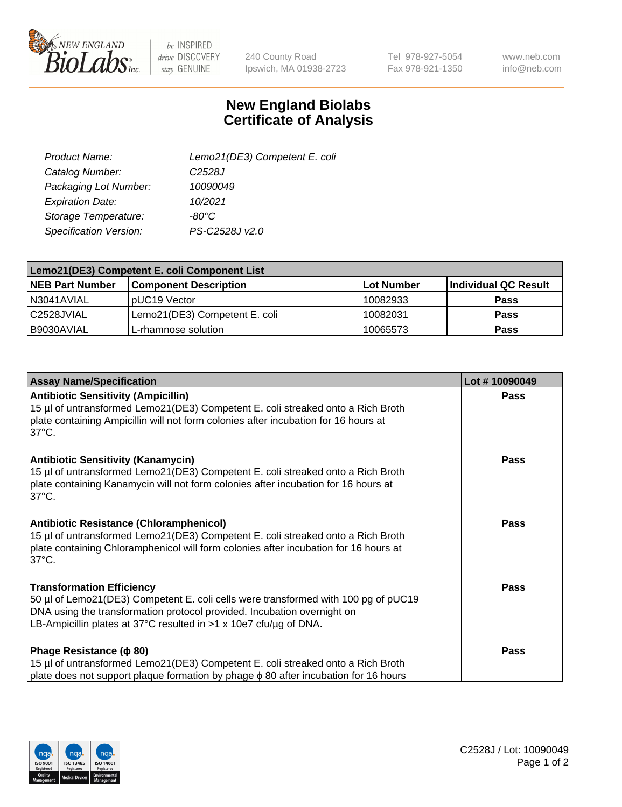

 $be$  INSPIRED drive DISCOVERY stay GENUINE

240 County Road Ipswich, MA 01938-2723 Tel 978-927-5054 Fax 978-921-1350

www.neb.com info@neb.com

## **New England Biolabs Certificate of Analysis**

| Lemo21(DE3) Competent E. coli |
|-------------------------------|
| C <sub>2528</sub> J           |
| 10090049                      |
| 10/2021                       |
| $-80^{\circ}$ C               |
| PS-C2528J v2.0                |
|                               |

| Lemo21(DE3) Competent E. coli Component List |                               |                   |                      |  |
|----------------------------------------------|-------------------------------|-------------------|----------------------|--|
| <b>NEB Part Number</b>                       | <b>Component Description</b>  | <b>Lot Number</b> | Individual QC Result |  |
| I N3041AVIAL                                 | IpUC19 Vector                 | 10082933          | Pass                 |  |
| C2528JVIAL                                   | Lemo21(DE3) Competent E. coli | 10082031          | Pass                 |  |
| B9030AVIAL                                   | L-rhamnose solution           | 10065573          | <b>Pass</b>          |  |

| <b>Assay Name/Specification</b>                                                                                                                                                                                                                                               | Lot #10090049 |
|-------------------------------------------------------------------------------------------------------------------------------------------------------------------------------------------------------------------------------------------------------------------------------|---------------|
| <b>Antibiotic Sensitivity (Ampicillin)</b><br>15 µl of untransformed Lemo21(DE3) Competent E. coli streaked onto a Rich Broth<br>plate containing Ampicillin will not form colonies after incubation for 16 hours at<br>$37^{\circ}$ C.                                       | <b>Pass</b>   |
| <b>Antibiotic Sensitivity (Kanamycin)</b><br>15 µl of untransformed Lemo21(DE3) Competent E. coli streaked onto a Rich Broth<br>plate containing Kanamycin will not form colonies after incubation for 16 hours at<br>$37^{\circ}$ C.                                         | Pass          |
| <b>Antibiotic Resistance (Chloramphenicol)</b><br>15 µl of untransformed Lemo21(DE3) Competent E. coli streaked onto a Rich Broth<br>plate containing Chloramphenicol will form colonies after incubation for 16 hours at<br>$37^{\circ}$ C.                                  | <b>Pass</b>   |
| <b>Transformation Efficiency</b><br>50 µl of Lemo21(DE3) Competent E. coli cells were transformed with 100 pg of pUC19<br>DNA using the transformation protocol provided. Incubation overnight on<br>LB-Ampicillin plates at 37°C resulted in $>1 \times 10e7$ cfu/ug of DNA. | <b>Pass</b>   |
| Phage Resistance ( $\phi$ 80)<br>15 µl of untransformed Lemo21(DE3) Competent E. coli streaked onto a Rich Broth<br>plate does not support plaque formation by phage φ 80 after incubation for 16 hours                                                                       | <b>Pass</b>   |